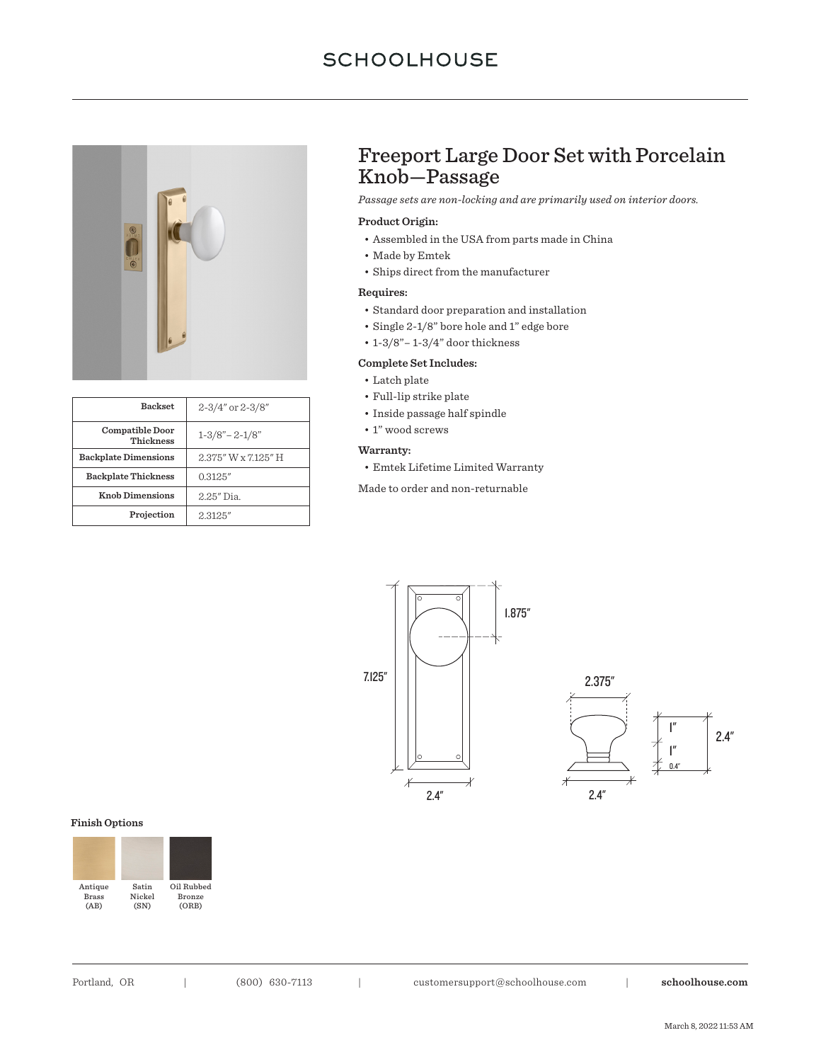

| <b>Backset</b>                             | $2 - 3/4"$ or $2 - 3/8"$ |
|--------------------------------------------|--------------------------|
| <b>Compatible Door</b><br><b>Thickness</b> | $1 - 3/8 - 2 - 1/8$      |
| <b>Backplate Dimensions</b>                | 2.375" W x 7.125" H      |
| <b>Backplate Thickness</b>                 | 0.3125"                  |
| <b>Knob Dimensions</b>                     | 2.25" Dia.               |
| Projection                                 | 2.3125"                  |

# Freeport Large Door Set with Porcelain Knob—Passage

*Passage sets are non-locking and are primarily used on interior doors.*

### **Product Origin:**

- Assembled in the USA from parts made in China
- Made by Emtek
- Ships direct from the manufacturer

### **Requires:**

- Standard door preparation and installation
- Single 2-1/8" bore hole and 1" edge bore
- 1-3/8"– 1-3/4" door thickness

### **Complete Set Includes:**

- Latch plate
- Full-lip strike plate
- Inside passage half spindle
- 1" wood screws

## **Warranty:**

- Emtek Lifetime Limited Warranty
- Made to order and non-returnable



#### **Finish Options**

| Antique      | Satin  | Oil Rubbed    |
|--------------|--------|---------------|
| <b>Brass</b> | Nickel | <b>Bronze</b> |
| (AB)         | (SN)   | (ORB)         |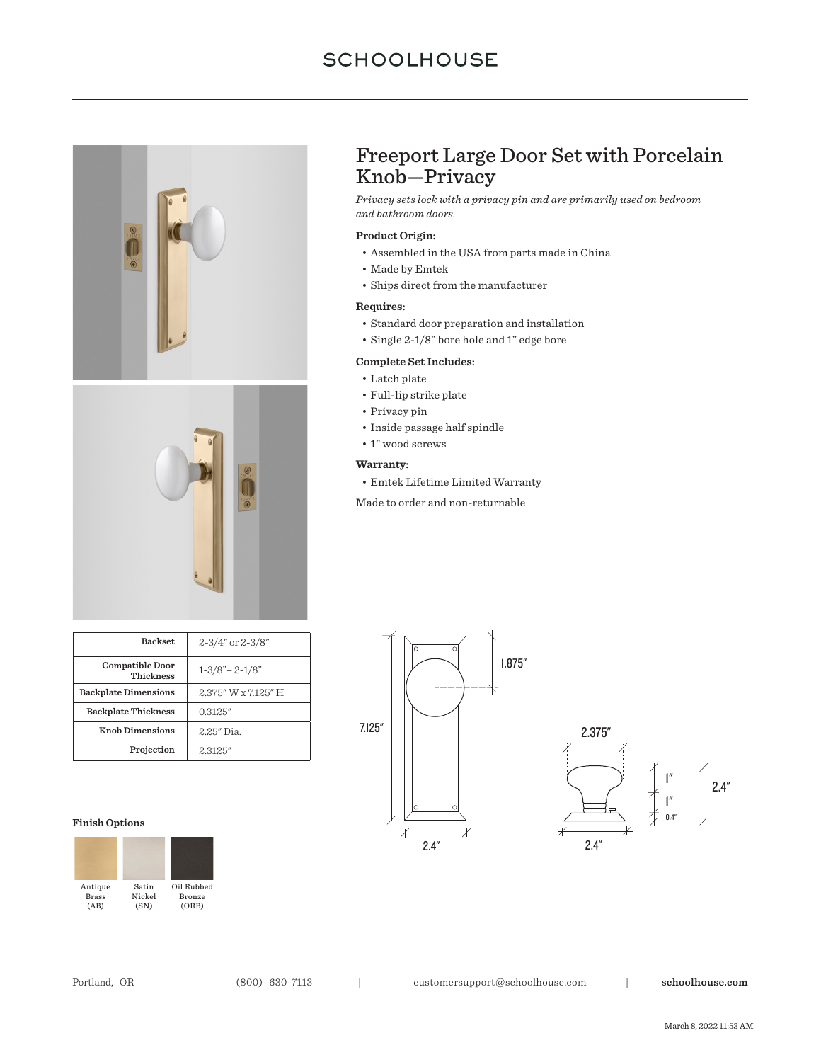



| <b>Backset</b>                      | $2 - 3/4"$ or $2 - 3/8"$ |
|-------------------------------------|--------------------------|
| Compatible Door<br><b>Thickness</b> | $1 - 3/8 - 2 - 1/8$      |
| <b>Backplate Dimensions</b>         | 2.375" W x 7.125" H      |
| <b>Backplate Thickness</b>          | 0.3125''                 |
| <b>Knob Dimensions</b>              | 2.25" Dia.               |
| Projection                          | 2.3125"                  |

#### **Finish Options**



# Freeport Large Door Set with Porcelain Knob—Privacy

*Privacy sets lock with a privacy pin and are primarily used on bedroom and bathroom doors.*

## **Product Origin:**

- Assembled in the USA from parts made in China
- Made by Emtek
- Ships direct from the manufacturer

#### **Requires:**

- Standard door preparation and installation
- Single 2-1/8" bore hole and 1" edge bore

#### **Complete Set Includes:**

- Latch plate
- Full-lip strike plate
- Privacy pin
- Inside passage half spindle
- 1" wood screws

### **Warranty:**

- Emtek Lifetime Limited Warranty
- Made to order and non-returnable

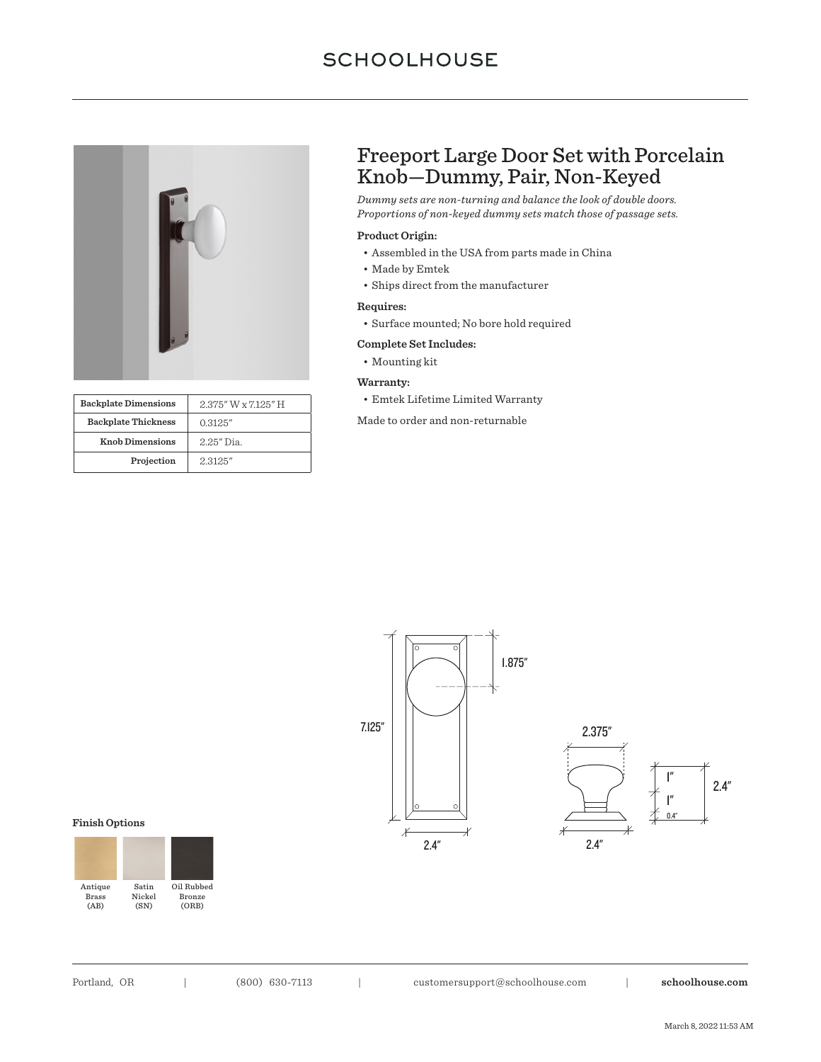

| <b>Backplate Dimensions</b> | 2.375" W x 7.125" H |
|-----------------------------|---------------------|
| <b>Backplate Thickness</b>  | 0.3125''            |
| <b>Knob Dimensions</b>      | 2.25" Dia.          |
| Projection                  | 2.3125"             |

# Freeport Large Door Set with Porcelain Knob—Dummy, Pair, Non-Keyed

*Dummy sets are non-turning and balance the look of double doors. Proportions of non-keyed dummy sets match those of passage sets.*

### **Product Origin:**

- Assembled in the USA from parts made in China
- Made by Emtek
- Ships direct from the manufacturer

## **Requires:**

• Surface mounted; No bore hold required

### **Complete Set Includes:**

• Mounting kit

#### **Warranty:**

• Emtek Lifetime Limited Warranty

Made to order and non-returnable



#### **Finish Options**



Portland, OR | (800) 630-7113 | customersupport@schoolhouse.com | **schoolhouse.com**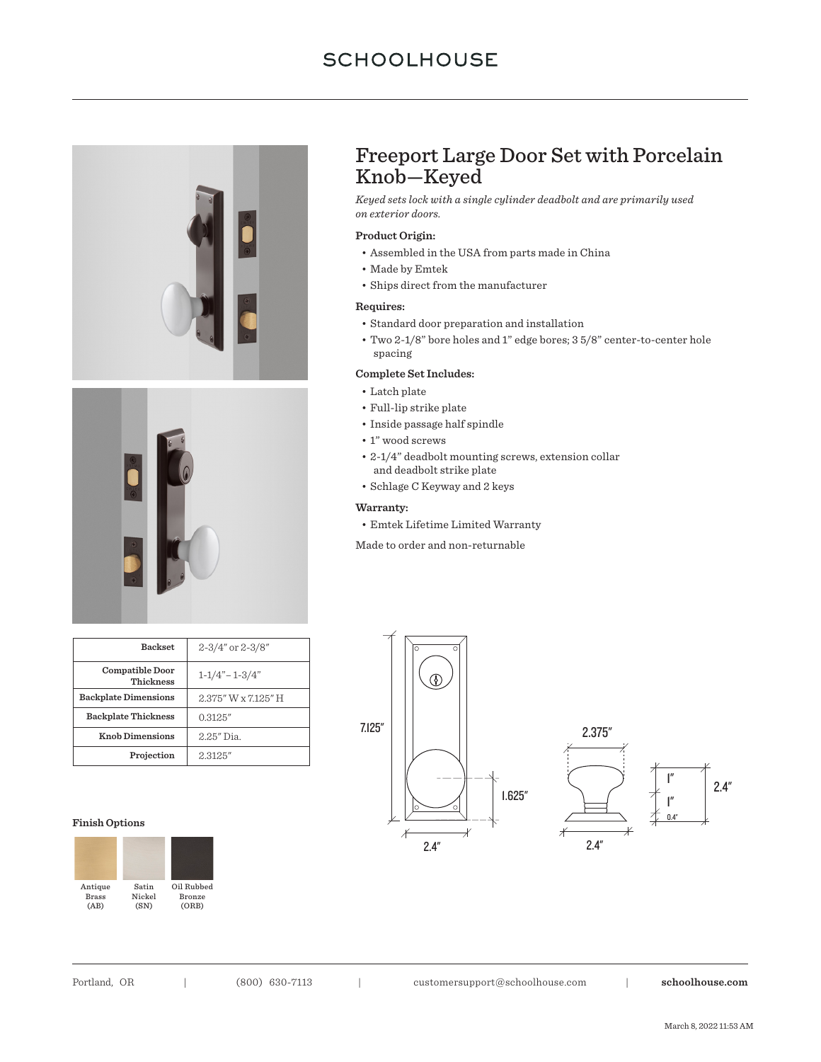



# Freeport Large Door Set with Porcelain Knob—Keyed

*Keyed sets lock with a single cylinder deadbolt and are primarily used on exterior doors.*

## **Product Origin:**

- Assembled in the USA from parts made in China
- Made by Emtek
- Ships direct from the manufacturer

### **Requires:**

- Standard door preparation and installation
- Two 2-1/8" bore holes and 1" edge bores; 3 5/8" center-to-center hole spacing

#### **Complete Set Includes:**

- Latch plate
- Full-lip strike plate
- Inside passage half spindle
- $\bullet$  1" wood screws
- 2-1/4" deadbolt mounting screws, extension collar and deadbolt strike plate
- Schlage C Keyway and 2 keys

### **Warranty:**

• Emtek Lifetime Limited Warranty

Made to order and non-returnable

| <b>Backset</b>               | $2 - 3/4$ " or $2 - 3/8$ " |
|------------------------------|----------------------------|
| Compatible Door<br>Thickness | $1 - 1/4 - 1 - 3/4$        |
| <b>Backplate Dimensions</b>  | 2.375" W x 7.125" H        |
| <b>Backplate Thickness</b>   | 0.3125''                   |
| <b>Knob Dimensions</b>       | 2.25" Dia.                 |
| Projection                   | 2.3125"                    |

#### **Finish Options**